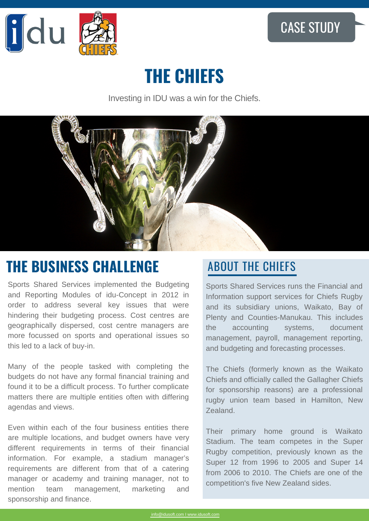

# **THE CHIEFS**

Investing in IDU was a win for the Chiefs.



## **THE BUSINESS CHALLENGE ABOUT THE CHIEFS**

Sports Shared Services implemented the Budgeting and Reporting Modules of idu-Concept in 2012 in order to address several key issues that were hindering their budgeting process. Cost centres are geographically dispersed, cost centre managers are more focussed on sports and operational issues so this led to a lack of buy-in.

Many of the people tasked with completing the budgets do not have any formal financial training and found it to be a difficult process. To further complicate matters there are multiple entities often with differing agendas and views.

Even within each of the four business entities there are multiple locations, and budget owners have very different requirements in terms of their financial information. For example, a stadium manager's requirements are different from that of a catering manager or academy and training manager, not to mention team management, marketing and sponsorship and finance.

Sports Shared Services runs the Financial and Information support services for Chiefs Rugby and its subsidiary unions, Waikato, Bay of Plenty and Counties-Manukau. This includes the accounting systems, document management, payroll, management reporting, and budgeting and forecasting processes.

The Chiefs (formerly known as the Waikato Chiefs and officially called the Gallagher Chiefs for sponsorship reasons) are a professional rugby union team based in Hamilton, New Zealand.

Their primary home ground is Waikato Stadium. The team competes in the Super Rugby competition, previously known as the Super 12 from 1996 to 2005 and Super 14 from 2006 to 2010. The Chiefs are one of the competition's five New Zealand sides.